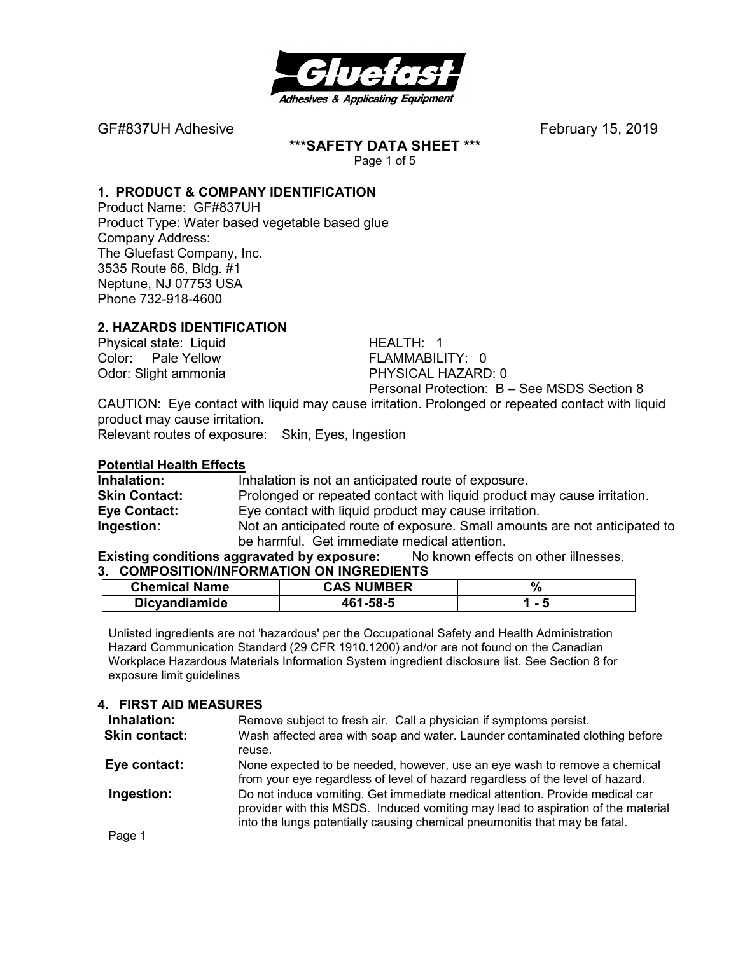

**\*\*\*SAFETY DATA SHEET \*\*\*** 

Page 1 of 5

# **1. PRODUCT & COMPANY IDENTIFICATION**

Product Name: GF#837UH Product Type: Water based vegetable based glue Company Address: The Gluefast Company, Inc. 3535 Route 66, Bldg. #1 Neptune, NJ 07753 USA Phone 732-918-4600

## **2. HAZARDS IDENTIFICATION**

Physical state: Liquid HEALTH: 1 Color: Pale Yellow FLAMMABILITY: 0

Odor: Slight ammonia PHYSICAL HAZARD: 0 Personal Protection: B – See MSDS Section 8

CAUTION: Eye contact with liquid may cause irritation. Prolonged or repeated contact with liquid product may cause irritation.

Relevant routes of exposure: Skin, Eyes, Ingestion

#### **Potential Health Effects**

**Inhalation:** Inhalation is not an anticipated route of exposure. **Skin Contact:** Prolonged or repeated contact with liquid product may cause irritation. **Eye Contact:** Eye contact with liquid product may cause irritation. **Ingestion:** Not an anticipated route of exposure. Small amounts are not anticipated to be harmful. Get immediate medical attention.

# **Existing conditions aggravated by exposure:** No known effects on other illnesses.

| 3. COMPOSITION/INFORMATION ON INGREDIENTS |                   |       |
|-------------------------------------------|-------------------|-------|
| <b>Chemical Name</b>                      | <b>CAS NUMBER</b> |       |
| <b>Dicyandiamide</b>                      | 461-58-5          | 1 - 5 |

Unlisted ingredients are not 'hazardous' per the Occupational Safety and Health Administration Hazard Communication Standard (29 CFR 1910.1200) and/or are not found on the Canadian Workplace Hazardous Materials Information System ingredient disclosure list. See Section 8 for exposure limit guidelines

#### **4. FIRST AID MEASURES**

| Inhalation:   | Remove subject to fresh air. Call a physician if symptoms persist.                                                                                                                                                                             |
|---------------|------------------------------------------------------------------------------------------------------------------------------------------------------------------------------------------------------------------------------------------------|
| Skin contact: | Wash affected area with soap and water. Launder contaminated clothing before                                                                                                                                                                   |
|               | reuse.                                                                                                                                                                                                                                         |
| Eye contact:  | None expected to be needed, however, use an eye wash to remove a chemical<br>from your eye regardless of level of hazard regardless of the level of hazard.                                                                                    |
| Ingestion:    | Do not induce vomiting. Get immediate medical attention. Provide medical car<br>provider with this MSDS. Induced vomiting may lead to aspiration of the material<br>into the lungs potentially causing chemical pneumonitis that may be fatal. |
| Page 1        |                                                                                                                                                                                                                                                |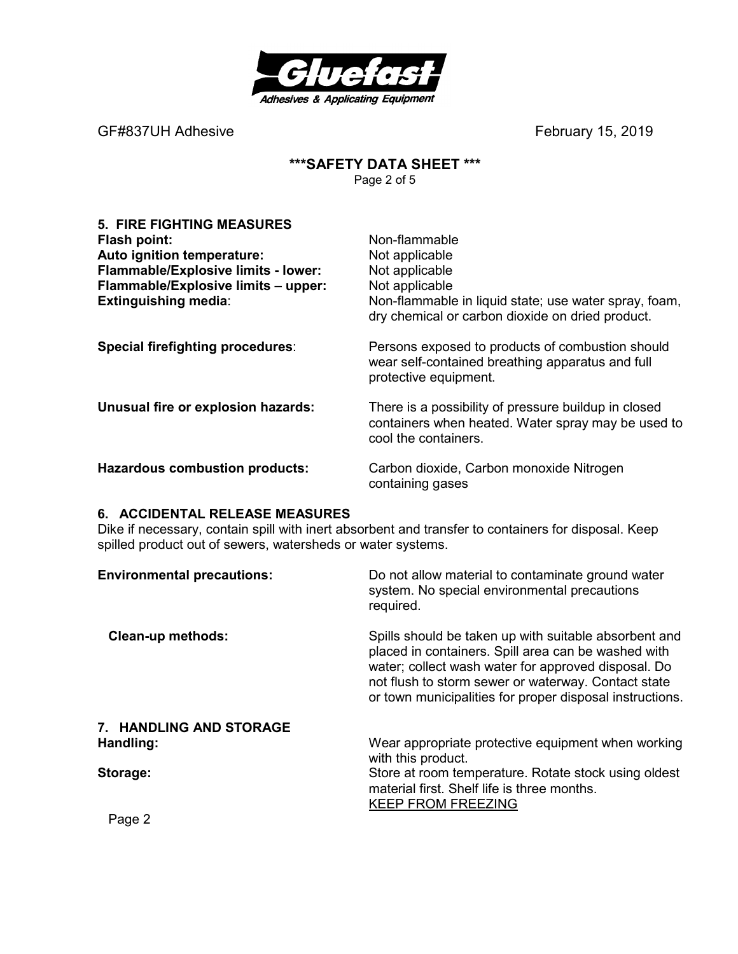

## **\*\*\*SAFETY DATA SHEET \*\*\***  Page 2 of 5

| <b>5. FIRE FIGHTING MEASURES</b><br>Flash point:<br>Auto ignition temperature:<br>Flammable/Explosive limits - lower:<br>Flammable/Explosive limits - upper:<br><b>Extinguishing media:</b> | Non-flammable<br>Not applicable<br>Not applicable<br>Not applicable<br>Non-flammable in liquid state; use water spray, foam,<br>dry chemical or carbon dioxide on dried product. |
|---------------------------------------------------------------------------------------------------------------------------------------------------------------------------------------------|----------------------------------------------------------------------------------------------------------------------------------------------------------------------------------|
| Special firefighting procedures:                                                                                                                                                            | Persons exposed to products of combustion should<br>wear self-contained breathing apparatus and full<br>protective equipment.                                                    |
| Unusual fire or explosion hazards:                                                                                                                                                          | There is a possibility of pressure buildup in closed<br>containers when heated. Water spray may be used to<br>cool the containers.                                               |
| <b>Hazardous combustion products:</b>                                                                                                                                                       | Carbon dioxide, Carbon monoxide Nitrogen<br>containing gases                                                                                                                     |

#### **6. ACCIDENTAL RELEASE MEASURES**

Dike if necessary, contain spill with inert absorbent and transfer to containers for disposal. Keep spilled product out of sewers, watersheds or water systems.

| <b>Environmental precautions:</b> | Do not allow material to contaminate ground water<br>system. No special environmental precautions<br>required.                                                                                                                                                                         |
|-----------------------------------|----------------------------------------------------------------------------------------------------------------------------------------------------------------------------------------------------------------------------------------------------------------------------------------|
| <b>Clean-up methods:</b>          | Spills should be taken up with suitable absorbent and<br>placed in containers. Spill area can be washed with<br>water; collect wash water for approved disposal. Do<br>not flush to storm sewer or waterway. Contact state<br>or town municipalities for proper disposal instructions. |
| 7. HANDLING AND STORAGE           |                                                                                                                                                                                                                                                                                        |
| Handling:                         | Wear appropriate protective equipment when working<br>with this product.                                                                                                                                                                                                               |
| Storage:                          | Store at room temperature. Rotate stock using oldest<br>material first. Shelf life is three months.<br><b>KEEP FROM FREEZING</b>                                                                                                                                                       |
| Page 2                            |                                                                                                                                                                                                                                                                                        |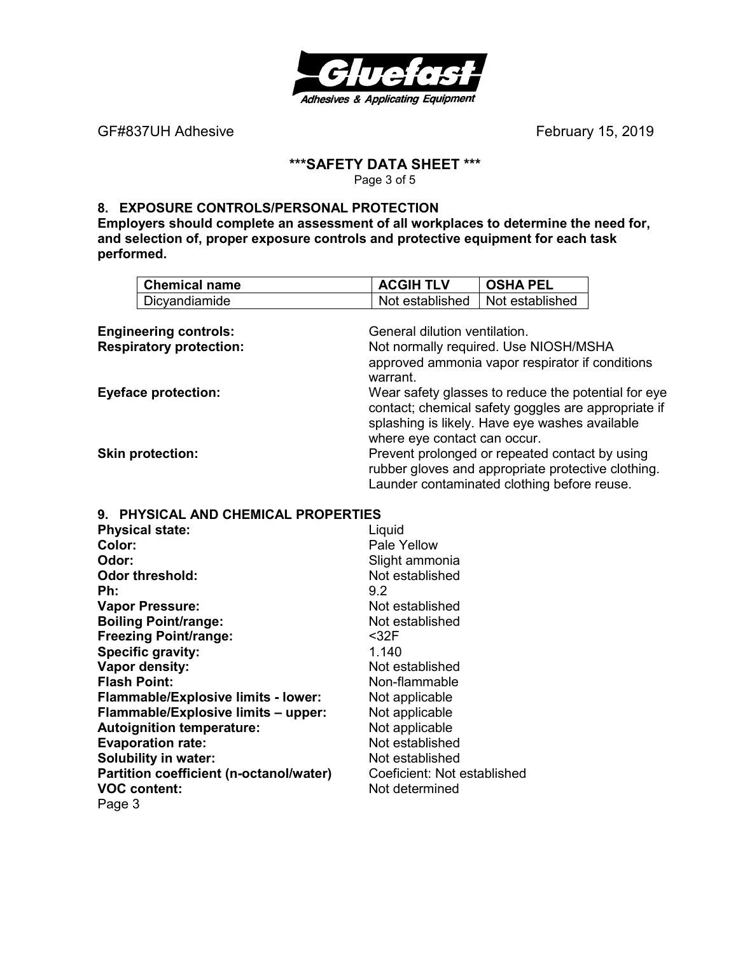

# **\*\*\*SAFETY DATA SHEET \*\*\***

Page 3 of 5

# **8. EXPOSURE CONTROLS/PERSONAL PROTECTION**

**Employers should complete an assessment of all workplaces to determine the need for, and selection of, proper exposure controls and protective equipment for each task performed.** 

|                                | <b>Chemical name</b>                    | <b>ACGIH TLV</b>                                    | <b>OSHA PEL</b> |  |  |
|--------------------------------|-----------------------------------------|-----------------------------------------------------|-----------------|--|--|
|                                | Dicyandiamide                           | Not established                                     | Not established |  |  |
|                                |                                         |                                                     |                 |  |  |
|                                | <b>Engineering controls:</b>            | General dilution ventilation.                       |                 |  |  |
| <b>Respiratory protection:</b> |                                         | Not normally required. Use NIOSH/MSHA               |                 |  |  |
|                                |                                         | approved ammonia vapor respirator if conditions     |                 |  |  |
|                                |                                         | warrant.                                            |                 |  |  |
| <b>Eyeface protection:</b>     |                                         | Wear safety glasses to reduce the potential for eye |                 |  |  |
|                                |                                         | contact; chemical safety goggles are appropriate if |                 |  |  |
|                                |                                         | splashing is likely. Have eye washes available      |                 |  |  |
|                                |                                         | where eye contact can occur.                        |                 |  |  |
| <b>Skin protection:</b>        |                                         | Prevent prolonged or repeated contact by using      |                 |  |  |
|                                |                                         | rubber gloves and appropriate protective clothing.  |                 |  |  |
|                                |                                         | Launder contaminated clothing before reuse.         |                 |  |  |
|                                | 9. PHYSICAL AND CHEMICAL PROPERTIES     |                                                     |                 |  |  |
|                                | <b>Physical state:</b>                  | Liquid                                              |                 |  |  |
| Color:                         |                                         | Pale Yellow                                         |                 |  |  |
| Odor:                          |                                         | Slight ammonia                                      |                 |  |  |
|                                | <b>Odor threshold:</b>                  | Not established                                     |                 |  |  |
| Ph:                            |                                         | 9.2                                                 |                 |  |  |
|                                | <b>Vapor Pressure:</b>                  | Not established                                     |                 |  |  |
|                                | <b>Boiling Point/range:</b>             | Not established                                     |                 |  |  |
|                                | <b>Freezing Point/range:</b>            | $32F$                                               |                 |  |  |
|                                | <b>Specific gravity:</b>                | 1.140                                               |                 |  |  |
|                                | Vapor density:                          | Not established                                     |                 |  |  |
| <b>Flash Point:</b>            |                                         | Non-flammable                                       |                 |  |  |
|                                | Flammable/Explosive limits - lower:     | Not applicable                                      |                 |  |  |
|                                | Flammable/Explosive limits - upper:     | Not applicable                                      |                 |  |  |
|                                | <b>Autoignition temperature:</b>        | Not applicable                                      |                 |  |  |
|                                | <b>Evaporation rate:</b>                | Not established                                     |                 |  |  |
|                                | <b>Solubility in water:</b>             | Not established                                     |                 |  |  |
|                                | Partition coefficient (n-octanol/water) | Coeficient: Not established                         |                 |  |  |
|                                | <b>VOC content:</b>                     | Not determined                                      |                 |  |  |
| Page 3                         |                                         |                                                     |                 |  |  |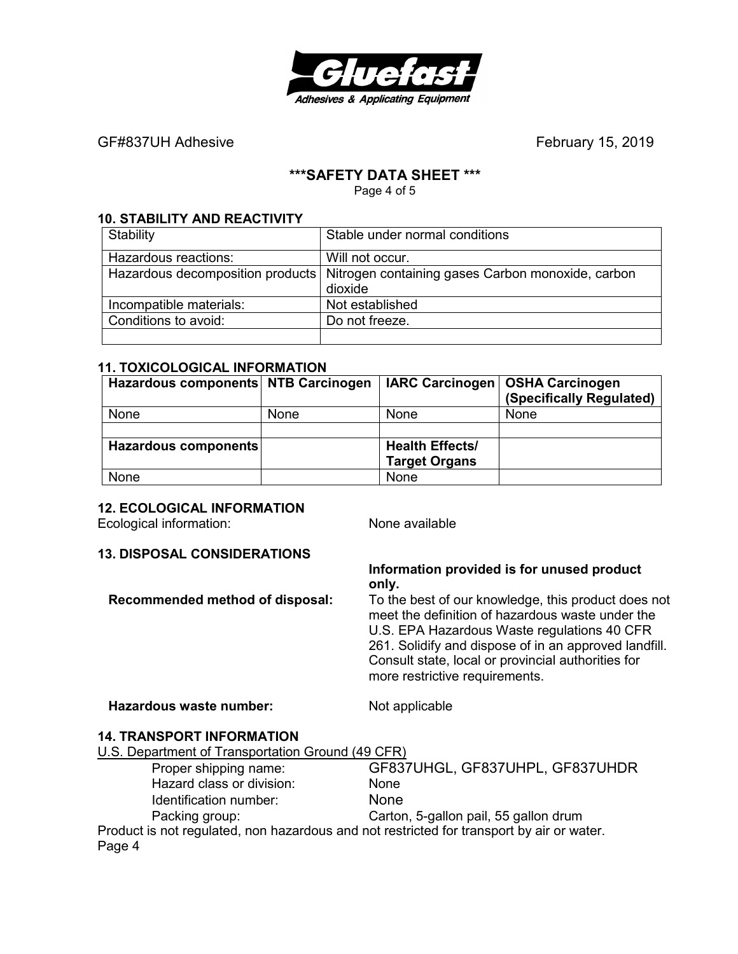

# **\*\*\*SAFETY DATA SHEET \*\*\***

Page 4 of 5

#### **10. STABILITY AND REACTIVITY**

| Stability               | Stable under normal conditions                                                       |
|-------------------------|--------------------------------------------------------------------------------------|
| Hazardous reactions:    | Will not occur.                                                                      |
|                         | Hazardous decomposition products   Nitrogen containing gases Carbon monoxide, carbon |
|                         | dioxide                                                                              |
| Incompatible materials: | Not established                                                                      |
| Conditions to avoid:    | Do not freeze.                                                                       |
|                         |                                                                                      |

#### **11. TOXICOLOGICAL INFORMATION**

| Hazardous components NTB Carcinogen |             |                        | IARC Carcinogen   OSHA Carcinogen<br>(Specifically Regulated) |
|-------------------------------------|-------------|------------------------|---------------------------------------------------------------|
| None                                | <b>None</b> | None                   | <b>None</b>                                                   |
|                                     |             |                        |                                                               |
| Hazardous components                |             | <b>Health Effects/</b> |                                                               |
|                                     |             | <b>Target Organs</b>   |                                                               |
| None                                |             | None                   |                                                               |

#### **12. ECOLOGICAL INFORMATION**

Ecological information: None available

#### **13. DISPOSAL CONSIDERATIONS**

**Information provided is for unused product only.** 

**Recommended method of disposal:** To the best of our knowledge, this product does not meet the definition of hazardous waste under the U.S. EPA Hazardous Waste regulations 40 CFR 261. Solidify and dispose of in an approved landfill. Consult state, local or provincial authorities for more restrictive requirements.

Hazardous waste number: Not applicable

#### **14. TRANSPORT INFORMATION**

U.S. Department of Transportation Ground (49 CFR)

 Proper shipping name: GF837UHGL, GF837UHPL, GF837UHDR Hazard class or division: None Identification number: None Packing group: Carton, 5-gallon pail, 55 gallon drum Product is not regulated, non hazardous and not restricted for transport by air or water. Page 4